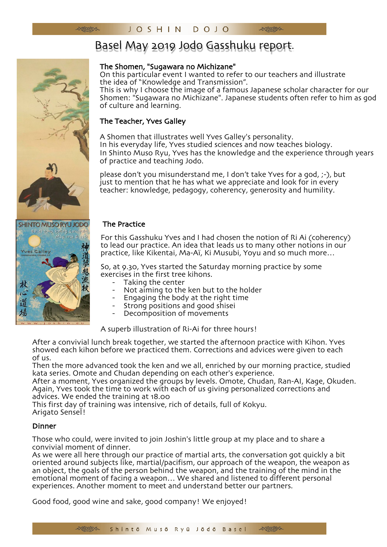# Basel May 2019 Jodo Gasshuku report.

## The Shomen, "Sugawara no Michizane"

On this particular event I wanted to refer to our teachers and illustrate the idea of "Knowledge and Transmission".

This is why I choose the image of a famous Japanese scholar character for our Shomen: "Sugawara no Michizane". Japanese students often refer to him as god of culture and learning.

## The Teacher, Yves Galley

A Shomen that illustrates well Yves Galley's personality. In his everyday life, Yves studied sciences and now teaches biology. In Shinto Muso Ryu, Yves has the knowledge and the experience through years of practice and teaching Jodo.

please don't you misunderstand me, I don't take Yves for a god, ;-), but just to mention that he has what we appreciate and look for in every teacher: knowledge, pedagogy, coherency, generosity and humility.

#### The Practice

For this Gasshuku Yves and I had chosen the notion of Ri Ai (coherency) to lead our practice. An idea that leads us to many other notions in our practice, like Kikentai, Ma-Aï, Ki Musubi, Yoyu and so much more…

So, at 9.30, Yves started the Saturday morning practice by some exercises in the first tree kihons.

- 
- Taking the center<br>Not aiming to the ken but to the holder<br>- Engaging the body at the right time
- 
- Strong positions and good shisei
- Decomposition of movements

A superb illustration of Ri-Ai for three hours!

After a convivial lunch break together, we started the afternoon practice with Kihon. Yves showed each kihon before we practiced them. Corrections and advices were given to each of us.

Then the more advanced took the ken and we all, enriched by our morning practice, studied kata series. Omote and Chudan depending on each other's experience.

After a moment, Yves organized the groups by levels. Omote, Chudan, Ran-AI, Kage, Okuden. Again, Yves took the time to work with each of us giving personalized corrections and advices. We ended the training at 18.00

This first day of training was intensive, rich of details, full of Kokyu. Arigato SenseÏ!

### Dinner

Those who could, were invited to join Joshin's little group at my place and to share a

As we were all here through our practice of martial arts, the conversation got quickly a bit oriented around subjects like, martial/pacifism, our approach of the weapon, the weapon as an object, the goals of the person behind the weapon, and the training of the mind in the emotional moment of facing a weapon… We shared and listened to different personal experiences. Another moment to meet and understand better our partners.

Good food, good wine and sake, good company! We enjoyed!